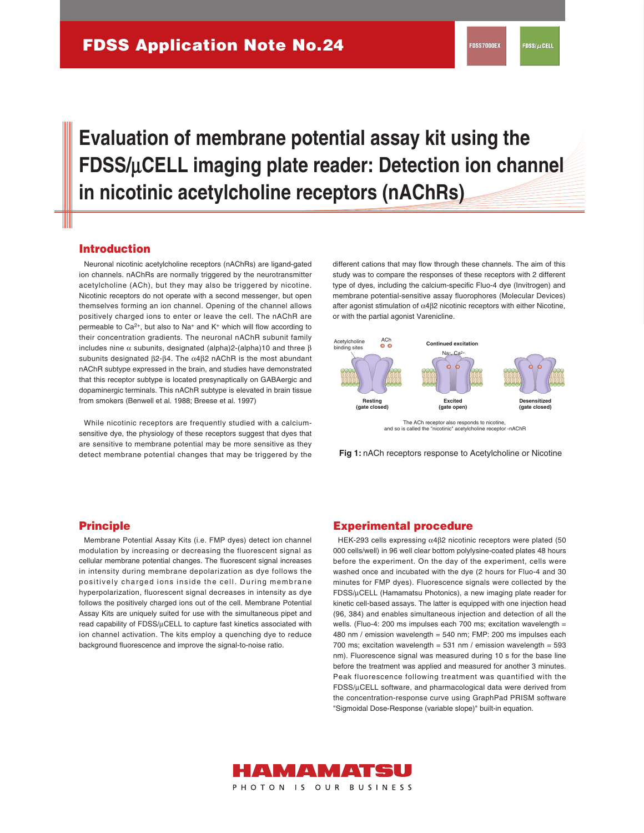# **Evaluation of membrane potential assay kit using the FDSS/**μ**CELL imaging plate reader: Detection ion channel in nicotinic acetylcholine receptors (nAChRs)**

### **Introduction**

 Neuronal nicotinic acetylcholine receptors (nAChRs) are ligand-gated ion channels. nAChRs are normally triggered by the neurotransmitter acetylcholine (ACh), but they may also be triggered by nicotine. Nicotinic receptors do not operate with a second messenger, but open themselves forming an ion channel. Opening of the channel allows positively charged ions to enter or leave the cell. The nAChR are permeable to  $Ca^{2+}$ , but also to Na<sup>+</sup> and K<sup>+</sup> which will flow according to their concentration gradients. The neuronal nAChR subunit family includes nine  $\alpha$  subunits, designated (alpha)2-(alpha)10 and three β subunits designated β2-β4. The α4β2 nAChR is the most abundant nAChR subtype expressed in the brain, and studies have demonstrated that this receptor subtype is located presynaptically on GABAergic and dopaminergic terminals. This nAChR subtype is elevated in brain tissue from smokers (Benwell et al. 1988; Breese et al. 1997)

 While nicotinic receptors are frequently studied with a calciumsensitive dye, the physiology of these receptors suggest that dyes that are sensitive to membrane potential may be more sensitive as they detect membrane potential changes that may be triggered by the different cations that may flow through these channels. The aim of this study was to compare the responses of these receptors with 2 different type of dyes, including the calcium-specific Fluo-4 dye (Invitrogen) and membrane potential-sensitive assay fluorophores (Molecular Devices) after agonist stimulation of α4β2 nicotinic receptors with either Nicotine, or with the partial agonist Varenicline.



and so is called the "nicotinic" acetylcholine receptor -nAChR

**Fig 1:** nACh receptors response to Acetylcholine or Nicotine

 Membrane Potential Assay Kits (i.e. FMP dyes) detect ion channel modulation by increasing or decreasing the fluorescent signal as cellular membrane potential changes. The fluorescent signal increases in intensity during membrane depolarization as dye follows the positively charged ions inside the cell. During membrane hyperpolarization, fluorescent signal decreases in intensity as dye follows the positively charged ions out of the cell. Membrane Potential Assay Kits are uniquely suited for use with the simultaneous pipet and read capability of FDSS/μCELL to capture fast kinetics associated with ion channel activation. The kits employ a quenching dye to reduce background fluorescence and improve the signal-to-noise ratio.

#### **Principle Experimental procedure**

 HEK-293 cells expressing α4β2 nicotinic receptors were plated (50 000 cells/well) in 96 well clear bottom polylysine-coated plates 48 hours before the experiment. On the day of the experiment, cells were washed once and incubated with the dye (2 hours for Fluo-4 and 30 minutes for FMP dyes). Fluorescence signals were collected by the FDSS/μCELL (Hamamatsu Photonics), a new imaging plate reader for kinetic cell-based assays. The latter is equipped with one injection head (96, 384) and enables simultaneous injection and detection of all the wells. (Fluo-4: 200 ms impulses each 700 ms; excitation wavelength = 480 nm / emission wavelength = 540 nm; FMP: 200 ms impulses each 700 ms; excitation wavelength =  $531$  nm / emission wavelength =  $593$ nm). Fluorescence signal was measured during 10 s for the base line before the treatment was applied and measured for another 3 minutes. Peak fluorescence following treatment was quantified with the FDSS/μCELL software, and pharmacological data were derived from the concentration-response curve using GraphPad PRISM software "Sigmoidal Dose-Response (variable slope)" built-in equation.